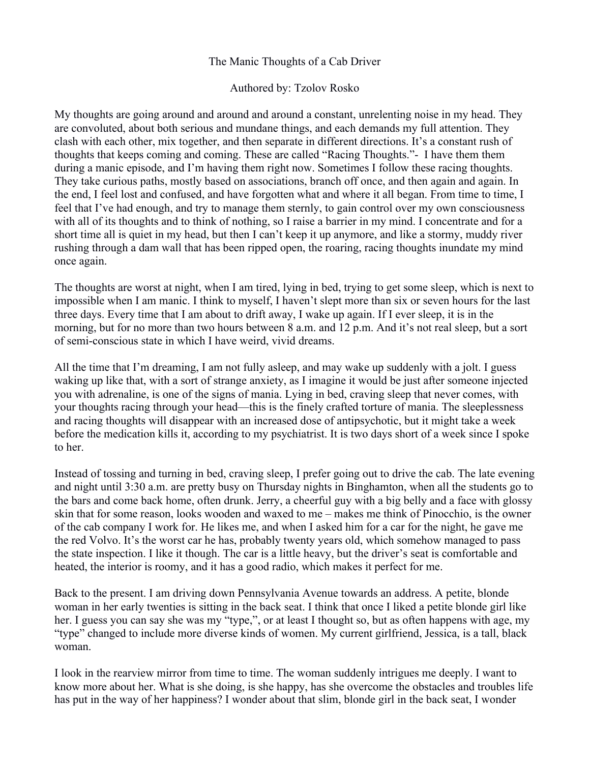## The Manic Thoughts of a Cab Driver

## Authored by: Tzolov Rosko

My thoughts are going around and around and around a constant, unrelenting noise in my head. They are convoluted, about both serious and mundane things, and each demands my full attention. They clash with each other, mix together, and then separate in different directions. It's a constant rush of thoughts that keeps coming and coming. These are called "Racing Thoughts."- I have them them during a manic episode, and I'm having them right now. Sometimes I follow these racing thoughts. They take curious paths, mostly based on associations, branch off once, and then again and again. In the end, I feel lost and confused, and have forgotten what and where it all began. From time to time, I feel that I've had enough, and try to manage them sternly, to gain control over my own consciousness with all of its thoughts and to think of nothing, so I raise a barrier in my mind. I concentrate and for a short time all is quiet in my head, but then I can't keep it up anymore, and like a stormy, muddy river rushing through a dam wall that has been ripped open, the roaring, racing thoughts inundate my mind once again.

The thoughts are worst at night, when I am tired, lying in bed, trying to get some sleep, which is next to impossible when I am manic. I think to myself, I haven't slept more than six or seven hours for the last three days. Every time that I am about to drift away, I wake up again. If I ever sleep, it is in the morning, but for no more than two hours between 8 a.m. and 12 p.m. And it's not real sleep, but a sort of semi-conscious state in which I have weird, vivid dreams.

All the time that I'm dreaming, I am not fully asleep, and may wake up suddenly with a jolt. I guess waking up like that, with a sort of strange anxiety, as I imagine it would be just after someone injected you with adrenaline, is one of the signs of mania. Lying in bed, craving sleep that never comes, with your thoughts racing through your head—this is the finely crafted torture of mania. The sleeplessness and racing thoughts will disappear with an increased dose of antipsychotic, but it might take a week before the medication kills it, according to my psychiatrist. It is two days short of a week since I spoke to her.

Instead of tossing and turning in bed, craving sleep, I prefer going out to drive the cab. The late evening and night until 3:30 a.m. are pretty busy on Thursday nights in Binghamton, when all the students go to the bars and come back home, often drunk. Jerry, a cheerful guy with a big belly and a face with glossy skin that for some reason, looks wooden and waxed to me – makes me think of Pinocchio, is the owner of the cab company I work for. He likes me, and when I asked him for a car for the night, he gave me the red Volvo. It's the worst car he has, probably twenty years old, which somehow managed to pass the state inspection. I like it though. The car is a little heavy, but the driver's seat is comfortable and heated, the interior is roomy, and it has a good radio, which makes it perfect for me.

Back to the present. I am driving down Pennsylvania Avenue towards an address. A petite, blonde woman in her early twenties is sitting in the back seat. I think that once I liked a petite blonde girl like her. I guess you can say she was my "type,", or at least I thought so, but as often happens with age, my "type" changed to include more diverse kinds of women. My current girlfriend, Jessica, is a tall, black woman.

I look in the rearview mirror from time to time. The woman suddenly intrigues me deeply. I want to know more about her. What is she doing, is she happy, has she overcome the obstacles and troubles life has put in the way of her happiness? I wonder about that slim, blonde girl in the back seat, I wonder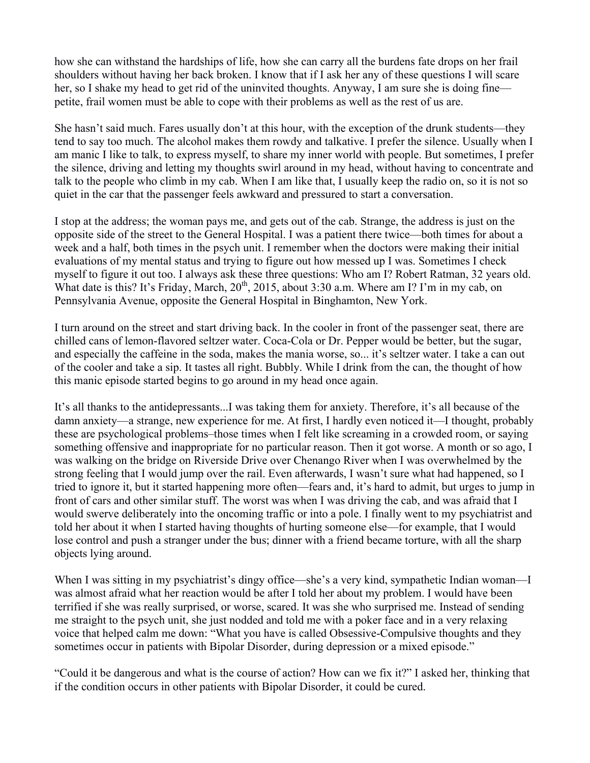how she can withstand the hardships of life, how she can carry all the burdens fate drops on her frail shoulders without having her back broken. I know that if I ask her any of these questions I will scare her, so I shake my head to get rid of the uninvited thoughts. Anyway, I am sure she is doing fine petite, frail women must be able to cope with their problems as well as the rest of us are.

She hasn't said much. Fares usually don't at this hour, with the exception of the drunk students—they tend to say too much. The alcohol makes them rowdy and talkative. I prefer the silence. Usually when I am manic I like to talk, to express myself, to share my inner world with people. But sometimes, I prefer the silence, driving and letting my thoughts swirl around in my head, without having to concentrate and talk to the people who climb in my cab. When I am like that, I usually keep the radio on, so it is not so quiet in the car that the passenger feels awkward and pressured to start a conversation.

I stop at the address; the woman pays me, and gets out of the cab. Strange, the address is just on the opposite side of the street to the General Hospital. I was a patient there twice—both times for about a week and a half, both times in the psych unit. I remember when the doctors were making their initial evaluations of my mental status and trying to figure out how messed up I was. Sometimes I check myself to figure it out too. I always ask these three questions: Who am I? Robert Ratman, 32 years old. What date is this? It's Friday, March,  $20^{th}$ ,  $2015$ , about 3:30 a.m. Where am I? I'm in my cab, on Pennsylvania Avenue, opposite the General Hospital in Binghamton, New York.

I turn around on the street and start driving back. In the cooler in front of the passenger seat, there are chilled cans of lemon-flavored seltzer water. Coca-Cola or Dr. Pepper would be better, but the sugar, and especially the caffeine in the soda, makes the mania worse, so... it's seltzer water. I take a can out of the cooler and take a sip. It tastes all right. Bubbly. While I drink from the can, the thought of how this manic episode started begins to go around in my head once again.

It's all thanks to the antidepressants...I was taking them for anxiety. Therefore, it's all because of the damn anxiety—a strange, new experience for me. At first, I hardly even noticed it—I thought, probably these are psychological problems–those times when I felt like screaming in a crowded room, or saying something offensive and inappropriate for no particular reason. Then it got worse. A month or so ago, I was walking on the bridge on Riverside Drive over Chenango River when I was overwhelmed by the strong feeling that I would jump over the rail. Even afterwards, I wasn't sure what had happened, so I tried to ignore it, but it started happening more often—fears and, it's hard to admit, but urges to jump in front of cars and other similar stuff. The worst was when I was driving the cab, and was afraid that I would swerve deliberately into the oncoming traffic or into a pole. I finally went to my psychiatrist and told her about it when I started having thoughts of hurting someone else—for example, that I would lose control and push a stranger under the bus; dinner with a friend became torture, with all the sharp objects lying around.

When I was sitting in my psychiatrist's dingy office—she's a very kind, sympathetic Indian woman—I was almost afraid what her reaction would be after I told her about my problem. I would have been terrified if she was really surprised, or worse, scared. It was she who surprised me. Instead of sending me straight to the psych unit, she just nodded and told me with a poker face and in a very relaxing voice that helped calm me down: "What you have is called Obsessive-Compulsive thoughts and they sometimes occur in patients with Bipolar Disorder, during depression or a mixed episode."

"Could it be dangerous and what is the course of action? How can we fix it?" I asked her, thinking that if the condition occurs in other patients with Bipolar Disorder, it could be cured.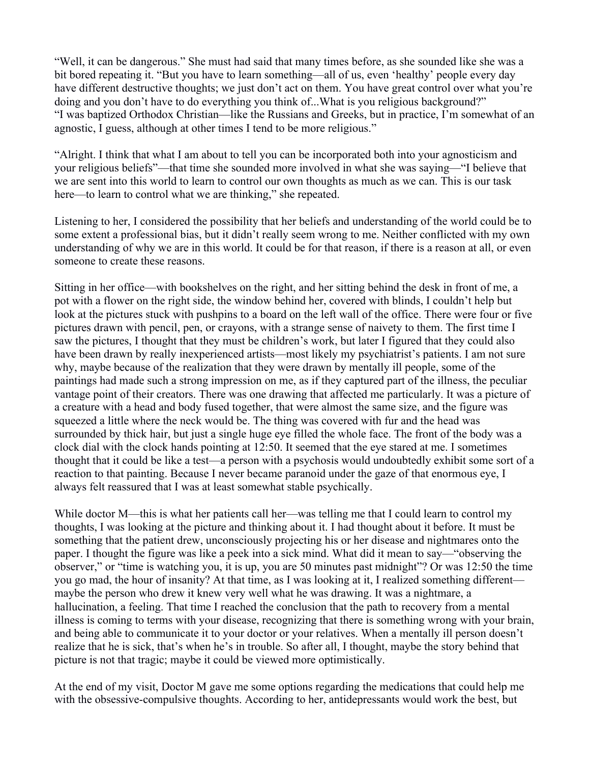"Well, it can be dangerous." She must had said that many times before, as she sounded like she was a bit bored repeating it. "But you have to learn something—all of us, even 'healthy' people every day have different destructive thoughts; we just don't act on them. You have great control over what you're doing and you don't have to do everything you think of...What is you religious background?" "I was baptized Orthodox Christian—like the Russians and Greeks, but in practice, I'm somewhat of an agnostic, I guess, although at other times I tend to be more religious."

"Alright. I think that what I am about to tell you can be incorporated both into your agnosticism and your religious beliefs"—that time she sounded more involved in what she was saying—"I believe that we are sent into this world to learn to control our own thoughts as much as we can. This is our task here—to learn to control what we are thinking," she repeated.

Listening to her, I considered the possibility that her beliefs and understanding of the world could be to some extent a professional bias, but it didn't really seem wrong to me. Neither conflicted with my own understanding of why we are in this world. It could be for that reason, if there is a reason at all, or even someone to create these reasons.

Sitting in her office—with bookshelves on the right, and her sitting behind the desk in front of me, a pot with a flower on the right side, the window behind her, covered with blinds, I couldn't help but look at the pictures stuck with pushpins to a board on the left wall of the office. There were four or five pictures drawn with pencil, pen, or crayons, with a strange sense of naivety to them. The first time I saw the pictures, I thought that they must be children's work, but later I figured that they could also have been drawn by really inexperienced artists—most likely my psychiatrist's patients. I am not sure why, maybe because of the realization that they were drawn by mentally ill people, some of the paintings had made such a strong impression on me, as if they captured part of the illness, the peculiar vantage point of their creators. There was one drawing that affected me particularly. It was a picture of a creature with a head and body fused together, that were almost the same size, and the figure was squeezed a little where the neck would be. The thing was covered with fur and the head was surrounded by thick hair, but just a single huge eye filled the whole face. The front of the body was a clock dial with the clock hands pointing at 12:50. It seemed that the eye stared at me. I sometimes thought that it could be like a test—a person with a psychosis would undoubtedly exhibit some sort of a reaction to that painting. Because I never became paranoid under the gaze of that enormous eye, I always felt reassured that I was at least somewhat stable psychically.

While doctor M—this is what her patients call her—was telling me that I could learn to control my thoughts, I was looking at the picture and thinking about it. I had thought about it before. It must be something that the patient drew, unconsciously projecting his or her disease and nightmares onto the paper. I thought the figure was like a peek into a sick mind. What did it mean to say—"observing the observer," or "time is watching you, it is up, you are 50 minutes past midnight"? Or was 12:50 the time you go mad, the hour of insanity? At that time, as I was looking at it, I realized something different maybe the person who drew it knew very well what he was drawing. It was a nightmare, a hallucination, a feeling. That time I reached the conclusion that the path to recovery from a mental illness is coming to terms with your disease, recognizing that there is something wrong with your brain, and being able to communicate it to your doctor or your relatives. When a mentally ill person doesn't realize that he is sick, that's when he's in trouble. So after all, I thought, maybe the story behind that picture is not that tragic; maybe it could be viewed more optimistically.

At the end of my visit, Doctor M gave me some options regarding the medications that could help me with the obsessive-compulsive thoughts. According to her, antidepressants would work the best, but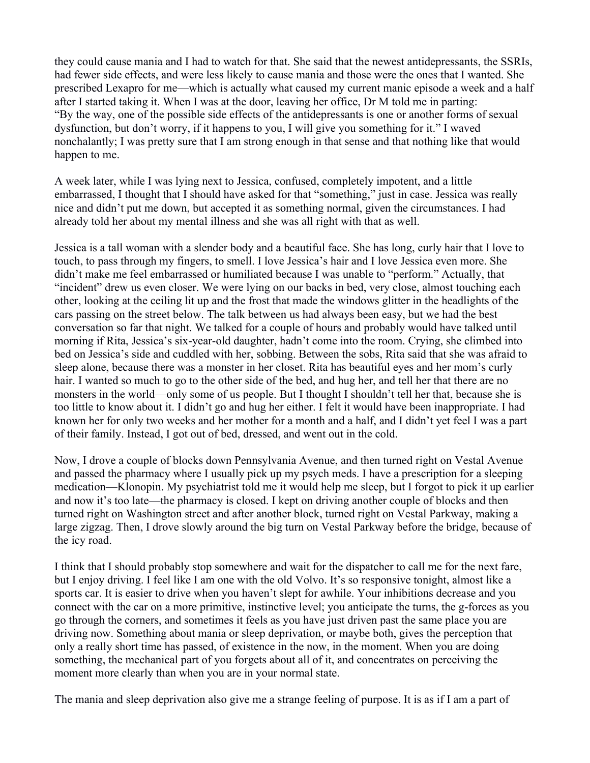they could cause mania and I had to watch for that. She said that the newest antidepressants, the SSRIs, had fewer side effects, and were less likely to cause mania and those were the ones that I wanted. She prescribed Lexapro for me—which is actually what caused my current manic episode a week and a half after I started taking it. When I was at the door, leaving her office, Dr M told me in parting: "By the way, one of the possible side effects of the antidepressants is one or another forms of sexual dysfunction, but don't worry, if it happens to you, I will give you something for it." I waved nonchalantly; I was pretty sure that I am strong enough in that sense and that nothing like that would happen to me.

A week later, while I was lying next to Jessica, confused, completely impotent, and a little embarrassed, I thought that I should have asked for that "something," just in case. Jessica was really nice and didn't put me down, but accepted it as something normal, given the circumstances. I had already told her about my mental illness and she was all right with that as well.

Jessica is a tall woman with a slender body and a beautiful face. She has long, curly hair that I love to touch, to pass through my fingers, to smell. I love Jessica's hair and I love Jessica even more. She didn't make me feel embarrassed or humiliated because I was unable to "perform." Actually, that "incident" drew us even closer. We were lying on our backs in bed, very close, almost touching each other, looking at the ceiling lit up and the frost that made the windows glitter in the headlights of the cars passing on the street below. The talk between us had always been easy, but we had the best conversation so far that night. We talked for a couple of hours and probably would have talked until morning if Rita, Jessica's six-year-old daughter, hadn't come into the room. Crying, she climbed into bed on Jessica's side and cuddled with her, sobbing. Between the sobs, Rita said that she was afraid to sleep alone, because there was a monster in her closet. Rita has beautiful eyes and her mom's curly hair. I wanted so much to go to the other side of the bed, and hug her, and tell her that there are no monsters in the world—only some of us people. But I thought I shouldn't tell her that, because she is too little to know about it. I didn't go and hug her either. I felt it would have been inappropriate. I had known her for only two weeks and her mother for a month and a half, and I didn't yet feel I was a part of their family. Instead, I got out of bed, dressed, and went out in the cold.

Now, I drove a couple of blocks down Pennsylvania Avenue, and then turned right on Vestal Avenue and passed the pharmacy where I usually pick up my psych meds. I have a prescription for a sleeping medication—Klonopin. My psychiatrist told me it would help me sleep, but I forgot to pick it up earlier and now it's too late—the pharmacy is closed. I kept on driving another couple of blocks and then turned right on Washington street and after another block, turned right on Vestal Parkway, making a large zigzag. Then, I drove slowly around the big turn on Vestal Parkway before the bridge, because of the icy road.

I think that I should probably stop somewhere and wait for the dispatcher to call me for the next fare, but I enjoy driving. I feel like I am one with the old Volvo. It's so responsive tonight, almost like a sports car. It is easier to drive when you haven't slept for awhile. Your inhibitions decrease and you connect with the car on a more primitive, instinctive level; you anticipate the turns, the g-forces as you go through the corners, and sometimes it feels as you have just driven past the same place you are driving now. Something about mania or sleep deprivation, or maybe both, gives the perception that only a really short time has passed, of existence in the now, in the moment. When you are doing something, the mechanical part of you forgets about all of it, and concentrates on perceiving the moment more clearly than when you are in your normal state.

The mania and sleep deprivation also give me a strange feeling of purpose. It is as if I am a part of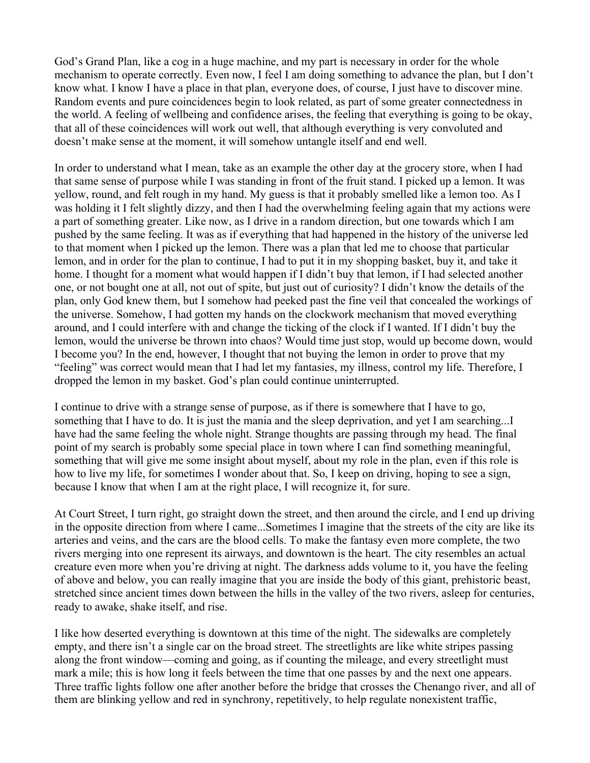God's Grand Plan, like a cog in a huge machine, and my part is necessary in order for the whole mechanism to operate correctly. Even now, I feel I am doing something to advance the plan, but I don't know what. I know I have a place in that plan, everyone does, of course, I just have to discover mine. Random events and pure coincidences begin to look related, as part of some greater connectedness in the world. A feeling of wellbeing and confidence arises, the feeling that everything is going to be okay, that all of these coincidences will work out well, that although everything is very convoluted and doesn't make sense at the moment, it will somehow untangle itself and end well.

In order to understand what I mean, take as an example the other day at the grocery store, when I had that same sense of purpose while I was standing in front of the fruit stand. I picked up a lemon. It was yellow, round, and felt rough in my hand. My guess is that it probably smelled like a lemon too. As I was holding it I felt slightly dizzy, and then I had the overwhelming feeling again that my actions were a part of something greater. Like now, as I drive in a random direction, but one towards which I am pushed by the same feeling. It was as if everything that had happened in the history of the universe led to that moment when I picked up the lemon. There was a plan that led me to choose that particular lemon, and in order for the plan to continue, I had to put it in my shopping basket, buy it, and take it home. I thought for a moment what would happen if I didn't buy that lemon, if I had selected another one, or not bought one at all, not out of spite, but just out of curiosity? I didn't know the details of the plan, only God knew them, but I somehow had peeked past the fine veil that concealed the workings of the universe. Somehow, I had gotten my hands on the clockwork mechanism that moved everything around, and I could interfere with and change the ticking of the clock if I wanted. If I didn't buy the lemon, would the universe be thrown into chaos? Would time just stop, would up become down, would I become you? In the end, however, I thought that not buying the lemon in order to prove that my "feeling" was correct would mean that I had let my fantasies, my illness, control my life. Therefore, I dropped the lemon in my basket. God's plan could continue uninterrupted.

I continue to drive with a strange sense of purpose, as if there is somewhere that I have to go, something that I have to do. It is just the mania and the sleep deprivation, and yet I am searching...I have had the same feeling the whole night. Strange thoughts are passing through my head. The final point of my search is probably some special place in town where I can find something meaningful, something that will give me some insight about myself, about my role in the plan, even if this role is how to live my life, for sometimes I wonder about that. So, I keep on driving, hoping to see a sign, because I know that when I am at the right place, I will recognize it, for sure.

At Court Street, I turn right, go straight down the street, and then around the circle, and I end up driving in the opposite direction from where I came...Sometimes I imagine that the streets of the city are like its arteries and veins, and the cars are the blood cells. To make the fantasy even more complete, the two rivers merging into one represent its airways, and downtown is the heart. The city resembles an actual creature even more when you're driving at night. The darkness adds volume to it, you have the feeling of above and below, you can really imagine that you are inside the body of this giant, prehistoric beast, stretched since ancient times down between the hills in the valley of the two rivers, asleep for centuries, ready to awake, shake itself, and rise.

I like how deserted everything is downtown at this time of the night. The sidewalks are completely empty, and there isn't a single car on the broad street. The streetlights are like white stripes passing along the front window—coming and going, as if counting the mileage, and every streetlight must mark a mile; this is how long it feels between the time that one passes by and the next one appears. Three traffic lights follow one after another before the bridge that crosses the Chenango river, and all of them are blinking yellow and red in synchrony, repetitively, to help regulate nonexistent traffic,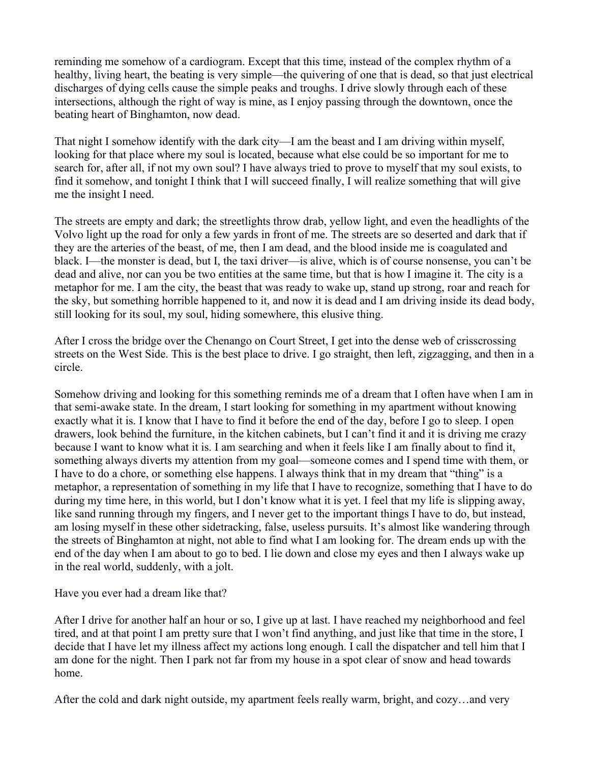reminding me somehow of a cardiogram. Except that this time, instead of the complex rhythm of a healthy, living heart, the beating is very simple—the quivering of one that is dead, so that just electrical discharges of dying cells cause the simple peaks and troughs. I drive slowly through each of these intersections, although the right of way is mine, as I enjoy passing through the downtown, once the beating heart of Binghamton, now dead.

That night I somehow identify with the dark city—I am the beast and I am driving within myself, looking for that place where my soul is located, because what else could be so important for me to search for, after all, if not my own soul? I have always tried to prove to myself that my soul exists, to find it somehow, and tonight I think that I will succeed finally, I will realize something that will give me the insight I need.

The streets are empty and dark; the streetlights throw drab, yellow light, and even the headlights of the Volvo light up the road for only a few yards in front of me. The streets are so deserted and dark that if they are the arteries of the beast, of me, then I am dead, and the blood inside me is coagulated and black. I—the monster is dead, but I, the taxi driver—is alive, which is of course nonsense, you can't be dead and alive, nor can you be two entities at the same time, but that is how I imagine it. The city is a metaphor for me. I am the city, the beast that was ready to wake up, stand up strong, roar and reach for the sky, but something horrible happened to it, and now it is dead and I am driving inside its dead body, still looking for its soul, my soul, hiding somewhere, this elusive thing.

After I cross the bridge over the Chenango on Court Street, I get into the dense web of crisscrossing streets on the West Side. This is the best place to drive. I go straight, then left, zigzagging, and then in a circle.

Somehow driving and looking for this something reminds me of a dream that I often have when I am in that semi-awake state. In the dream, I start looking for something in my apartment without knowing exactly what it is. I know that I have to find it before the end of the day, before I go to sleep. I open drawers, look behind the furniture, in the kitchen cabinets, but I can't find it and it is driving me crazy because I want to know what it is. I am searching and when it feels like I am finally about to find it, something always diverts my attention from my goal—someone comes and I spend time with them, or I have to do a chore, or something else happens. I always think that in my dream that "thing" is a metaphor, a representation of something in my life that I have to recognize, something that I have to do during my time here, in this world, but I don't know what it is yet. I feel that my life is slipping away, like sand running through my fingers, and I never get to the important things I have to do, but instead, am losing myself in these other sidetracking, false, useless pursuits. It's almost like wandering through the streets of Binghamton at night, not able to find what I am looking for. The dream ends up with the end of the day when I am about to go to bed. I lie down and close my eyes and then I always wake up in the real world, suddenly, with a jolt.

## Have you ever had a dream like that?

After I drive for another half an hour or so, I give up at last. I have reached my neighborhood and feel tired, and at that point I am pretty sure that I won't find anything, and just like that time in the store, I decide that I have let my illness affect my actions long enough. I call the dispatcher and tell him that I am done for the night. Then I park not far from my house in a spot clear of snow and head towards home.

After the cold and dark night outside, my apartment feels really warm, bright, and cozy…and very